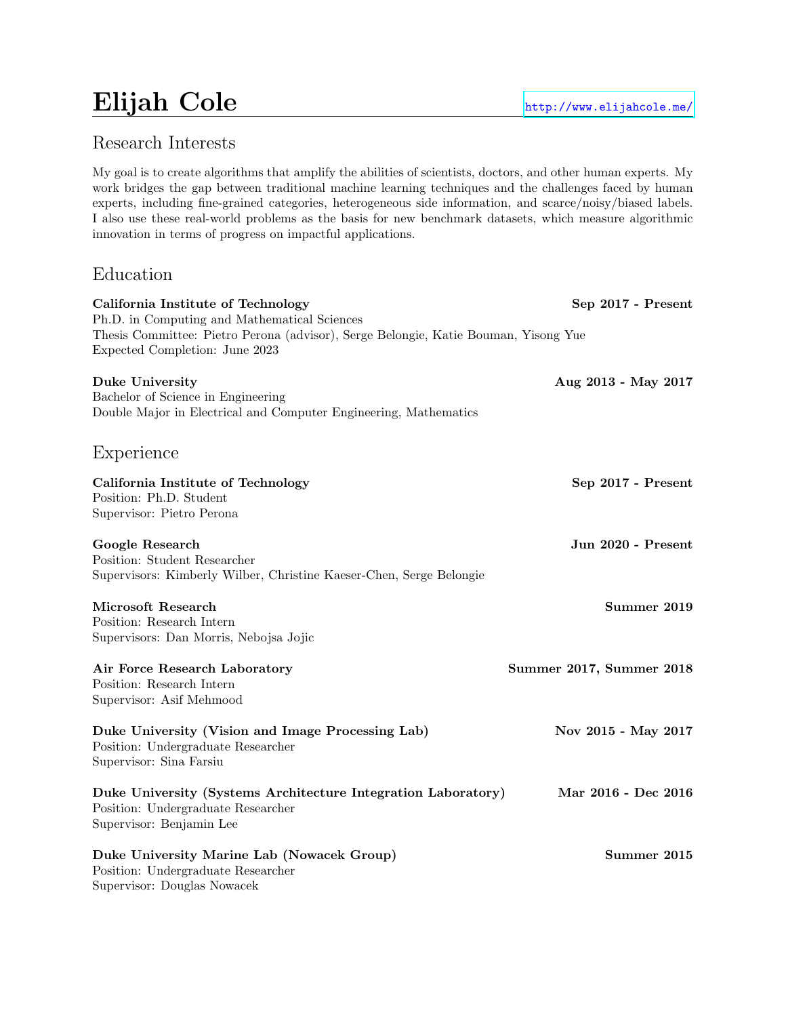# Elijah Cole <http://www.elijahcole.me/>

My goal is to create algorithms that amplify the abilities of scientists, doctors, and other human experts. My work bridges the gap between traditional machine learning techniques and the challenges faced by human experts, including fine-grained categories, heterogeneous side information, and scarce/noisy/biased labels. I also use these real-world problems as the basis for new benchmark datasets, which measure algorithmic innovation in terms of progress on impactful applications.

# Education

| California Institute of Technology<br>Ph.D. in Computing and Mathematical Sciences                                              | Sep 2017 - Present              |
|---------------------------------------------------------------------------------------------------------------------------------|---------------------------------|
| Thesis Committee: Pietro Perona (advisor), Serge Belongie, Katie Bouman, Yisong Yue<br>Expected Completion: June 2023           |                                 |
| Duke University<br>Bachelor of Science in Engineering<br>Double Major in Electrical and Computer Engineering, Mathematics       | Aug 2013 - May 2017             |
| Experience                                                                                                                      |                                 |
| California Institute of Technology<br>Position: Ph.D. Student<br>Supervisor: Pietro Perona                                      | Sep 2017 - Present              |
| Google Research<br>Position: Student Researcher<br>Supervisors: Kimberly Wilber, Christine Kaeser-Chen, Serge Belongie          | Jun 2020 - Present              |
| Microsoft Research<br>Position: Research Intern<br>Supervisors: Dan Morris, Nebojsa Jojic                                       | Summer 2019                     |
| Air Force Research Laboratory<br>Position: Research Intern<br>Supervisor: Asif Mehmood                                          | <b>Summer 2017, Summer 2018</b> |
| Duke University (Vision and Image Processing Lab)<br>Position: Undergraduate Researcher<br>Supervisor: Sina Farsiu              | Nov 2015 - May 2017             |
| Duke University (Systems Architecture Integration Laboratory)<br>Position: Undergraduate Researcher<br>Supervisor: Benjamin Lee | Mar 2016 - Dec 2016             |
| Duke University Marine Lab (Nowacek Group)<br>Position: Undergraduate Researcher<br>Supervisor: Douglas Nowacek                 | Summer 2015                     |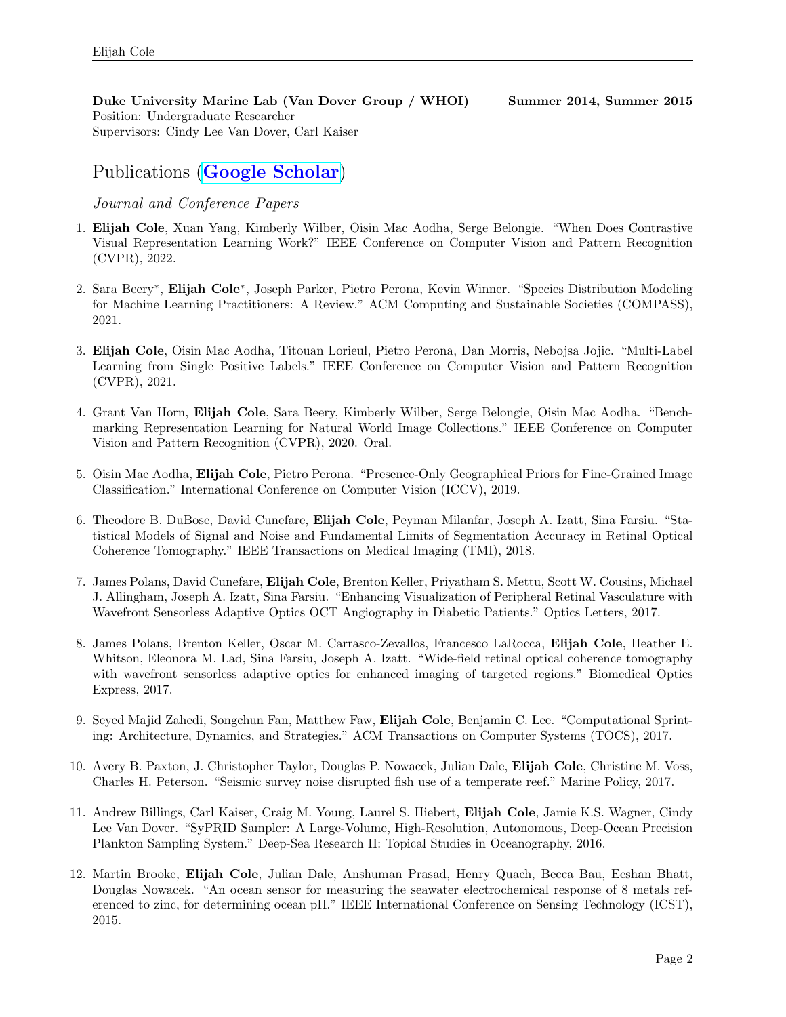Duke University Marine Lab (Van Dover Group / WHOI) Summer 2014, Summer 2015 Position: Undergraduate Researcher Supervisors: Cindy Lee Van Dover, Carl Kaiser

# Publications ([Google Scholar](https://scholar.google.com/citations?hl=en&user=-atuVWQAAAAJ&view_op=list_works&sortby=pubdate))

#### Journal and Conference Papers

- 1. Elijah Cole, Xuan Yang, Kimberly Wilber, Oisin Mac Aodha, Serge Belongie. "When Does Contrastive Visual Representation Learning Work?" IEEE Conference on Computer Vision and Pattern Recognition (CVPR), 2022.
- 2. Sara Beery<sup>∗</sup>, Elijah Cole<sup>∗</sup>, Joseph Parker, Pietro Perona, Kevin Winner. "Species Distribution Modeling for Machine Learning Practitioners: A Review." ACM Computing and Sustainable Societies (COMPASS), 2021.
- 3. Elijah Cole, Oisin Mac Aodha, Titouan Lorieul, Pietro Perona, Dan Morris, Nebojsa Jojic. "Multi-Label Learning from Single Positive Labels." IEEE Conference on Computer Vision and Pattern Recognition (CVPR), 2021.
- 4. Grant Van Horn, Elijah Cole, Sara Beery, Kimberly Wilber, Serge Belongie, Oisin Mac Aodha. "Benchmarking Representation Learning for Natural World Image Collections." IEEE Conference on Computer Vision and Pattern Recognition (CVPR), 2020. Oral.
- 5. Oisin Mac Aodha, Elijah Cole, Pietro Perona. "Presence-Only Geographical Priors for Fine-Grained Image Classification." International Conference on Computer Vision (ICCV), 2019.
- 6. Theodore B. DuBose, David Cunefare, Elijah Cole, Peyman Milanfar, Joseph A. Izatt, Sina Farsiu. "Statistical Models of Signal and Noise and Fundamental Limits of Segmentation Accuracy in Retinal Optical Coherence Tomography." IEEE Transactions on Medical Imaging (TMI), 2018.
- 7. James Polans, David Cunefare, Elijah Cole, Brenton Keller, Priyatham S. Mettu, Scott W. Cousins, Michael J. Allingham, Joseph A. Izatt, Sina Farsiu. "Enhancing Visualization of Peripheral Retinal Vasculature with Wavefront Sensorless Adaptive Optics OCT Angiography in Diabetic Patients." Optics Letters, 2017.
- 8. James Polans, Brenton Keller, Oscar M. Carrasco-Zevallos, Francesco LaRocca, Elijah Cole, Heather E. Whitson, Eleonora M. Lad, Sina Farsiu, Joseph A. Izatt. "Wide-field retinal optical coherence tomography with wavefront sensorless adaptive optics for enhanced imaging of targeted regions." Biomedical Optics Express, 2017.
- 9. Seyed Majid Zahedi, Songchun Fan, Matthew Faw, Elijah Cole, Benjamin C. Lee. "Computational Sprinting: Architecture, Dynamics, and Strategies." ACM Transactions on Computer Systems (TOCS), 2017.
- 10. Avery B. Paxton, J. Christopher Taylor, Douglas P. Nowacek, Julian Dale, Elijah Cole, Christine M. Voss, Charles H. Peterson. "Seismic survey noise disrupted fish use of a temperate reef." Marine Policy, 2017.
- 11. Andrew Billings, Carl Kaiser, Craig M. Young, Laurel S. Hiebert, Elijah Cole, Jamie K.S. Wagner, Cindy Lee Van Dover. "SyPRID Sampler: A Large-Volume, High-Resolution, Autonomous, Deep-Ocean Precision Plankton Sampling System." Deep-Sea Research II: Topical Studies in Oceanography, 2016.
- 12. Martin Brooke, Elijah Cole, Julian Dale, Anshuman Prasad, Henry Quach, Becca Bau, Eeshan Bhatt, Douglas Nowacek. "An ocean sensor for measuring the seawater electrochemical response of 8 metals referenced to zinc, for determining ocean pH." IEEE International Conference on Sensing Technology (ICST), 2015.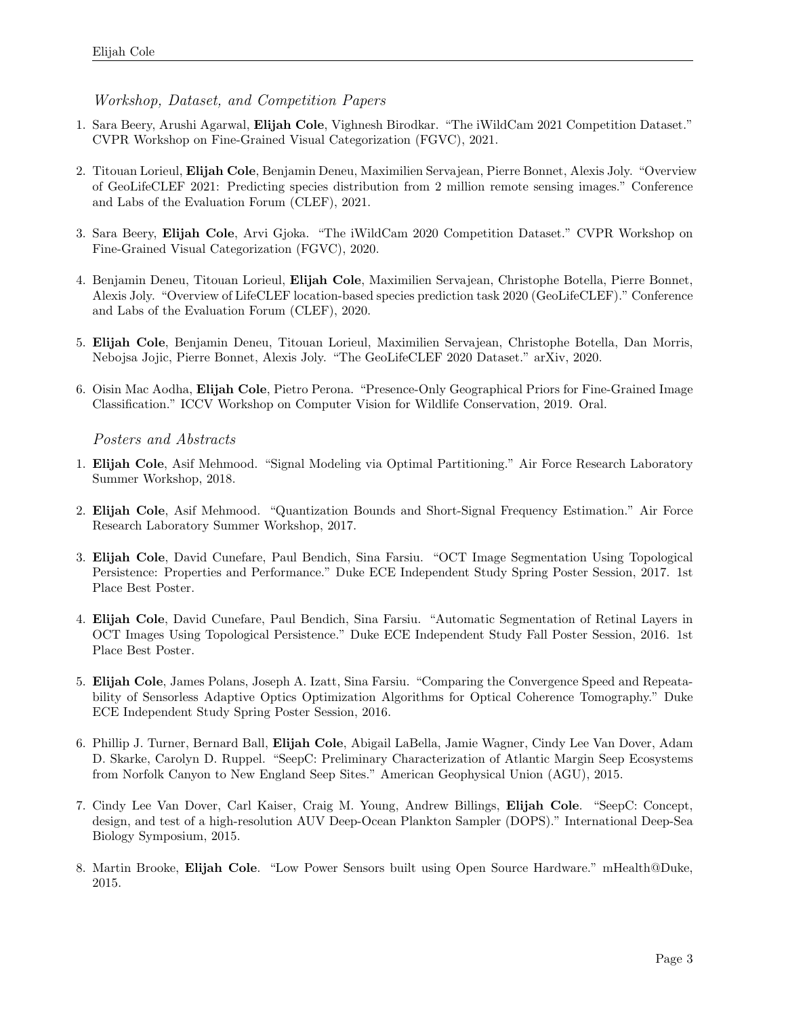Workshop, Dataset, and Competition Papers

- 1. Sara Beery, Arushi Agarwal, Elijah Cole, Vighnesh Birodkar. "The iWildCam 2021 Competition Dataset." CVPR Workshop on Fine-Grained Visual Categorization (FGVC), 2021.
- 2. Titouan Lorieul, Elijah Cole, Benjamin Deneu, Maximilien Servajean, Pierre Bonnet, Alexis Joly. "Overview of GeoLifeCLEF 2021: Predicting species distribution from 2 million remote sensing images." Conference and Labs of the Evaluation Forum (CLEF), 2021.
- 3. Sara Beery, Elijah Cole, Arvi Gjoka. "The iWildCam 2020 Competition Dataset." CVPR Workshop on Fine-Grained Visual Categorization (FGVC), 2020.
- 4. Benjamin Deneu, Titouan Lorieul, Elijah Cole, Maximilien Servajean, Christophe Botella, Pierre Bonnet, Alexis Joly. "Overview of LifeCLEF location-based species prediction task 2020 (GeoLifeCLEF)." Conference and Labs of the Evaluation Forum (CLEF), 2020.
- 5. Elijah Cole, Benjamin Deneu, Titouan Lorieul, Maximilien Servajean, Christophe Botella, Dan Morris, Nebojsa Jojic, Pierre Bonnet, Alexis Joly. "The GeoLifeCLEF 2020 Dataset." arXiv, 2020.
- 6. Oisin Mac Aodha, Elijah Cole, Pietro Perona. "Presence-Only Geographical Priors for Fine-Grained Image Classification." ICCV Workshop on Computer Vision for Wildlife Conservation, 2019. Oral.

#### Posters and Abstracts

- 1. Elijah Cole, Asif Mehmood. "Signal Modeling via Optimal Partitioning." Air Force Research Laboratory Summer Workshop, 2018.
- 2. Elijah Cole, Asif Mehmood. "Quantization Bounds and Short-Signal Frequency Estimation." Air Force Research Laboratory Summer Workshop, 2017.
- 3. Elijah Cole, David Cunefare, Paul Bendich, Sina Farsiu. "OCT Image Segmentation Using Topological Persistence: Properties and Performance." Duke ECE Independent Study Spring Poster Session, 2017. 1st Place Best Poster.
- 4. Elijah Cole, David Cunefare, Paul Bendich, Sina Farsiu. "Automatic Segmentation of Retinal Layers in OCT Images Using Topological Persistence." Duke ECE Independent Study Fall Poster Session, 2016. 1st Place Best Poster.
- 5. Elijah Cole, James Polans, Joseph A. Izatt, Sina Farsiu. "Comparing the Convergence Speed and Repeatability of Sensorless Adaptive Optics Optimization Algorithms for Optical Coherence Tomography." Duke ECE Independent Study Spring Poster Session, 2016.
- 6. Phillip J. Turner, Bernard Ball, Elijah Cole, Abigail LaBella, Jamie Wagner, Cindy Lee Van Dover, Adam D. Skarke, Carolyn D. Ruppel. "SeepC: Preliminary Characterization of Atlantic Margin Seep Ecosystems from Norfolk Canyon to New England Seep Sites." American Geophysical Union (AGU), 2015.
- 7. Cindy Lee Van Dover, Carl Kaiser, Craig M. Young, Andrew Billings, Elijah Cole. "SeepC: Concept, design, and test of a high-resolution AUV Deep-Ocean Plankton Sampler (DOPS)." International Deep-Sea Biology Symposium, 2015.
- 8. Martin Brooke, Elijah Cole. "Low Power Sensors built using Open Source Hardware." mHealth@Duke, 2015.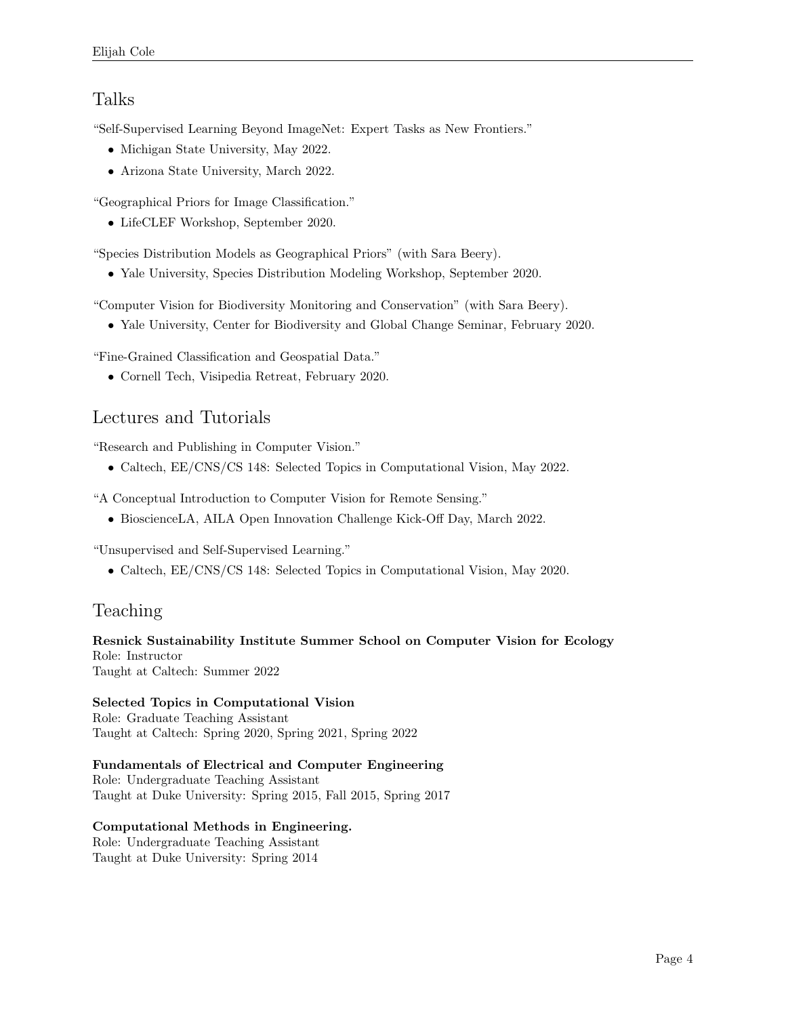#### Talks

"Self-Supervised Learning Beyond ImageNet: Expert Tasks as New Frontiers."

- Michigan State University, May 2022.
- Arizona State University, March 2022.

"Geographical Priors for Image Classification."

• LifeCLEF Workshop, September 2020.

"Species Distribution Models as Geographical Priors" (with Sara Beery).

• Yale University, Species Distribution Modeling Workshop, September 2020.

"Computer Vision for Biodiversity Monitoring and Conservation" (with Sara Beery).

• Yale University, Center for Biodiversity and Global Change Seminar, February 2020.

"Fine-Grained Classification and Geospatial Data."

• Cornell Tech, Visipedia Retreat, February 2020.

#### Lectures and Tutorials

"Research and Publishing in Computer Vision."

• Caltech, EE/CNS/CS 148: Selected Topics in Computational Vision, May 2022.

"A Conceptual Introduction to Computer Vision for Remote Sensing."

• BioscienceLA, AILA Open Innovation Challenge Kick-Off Day, March 2022.

"Unsupervised and Self-Supervised Learning."

• Caltech, EE/CNS/CS 148: Selected Topics in Computational Vision, May 2020.

# Teaching

Resnick Sustainability Institute Summer School on Computer Vision for Ecology Role: Instructor Taught at Caltech: Summer 2022

Selected Topics in Computational Vision Role: Graduate Teaching Assistant Taught at Caltech: Spring 2020, Spring 2021, Spring 2022

Fundamentals of Electrical and Computer Engineering Role: Undergraduate Teaching Assistant Taught at Duke University: Spring 2015, Fall 2015, Spring 2017

### Computational Methods in Engineering. Role: Undergraduate Teaching Assistant

Taught at Duke University: Spring 2014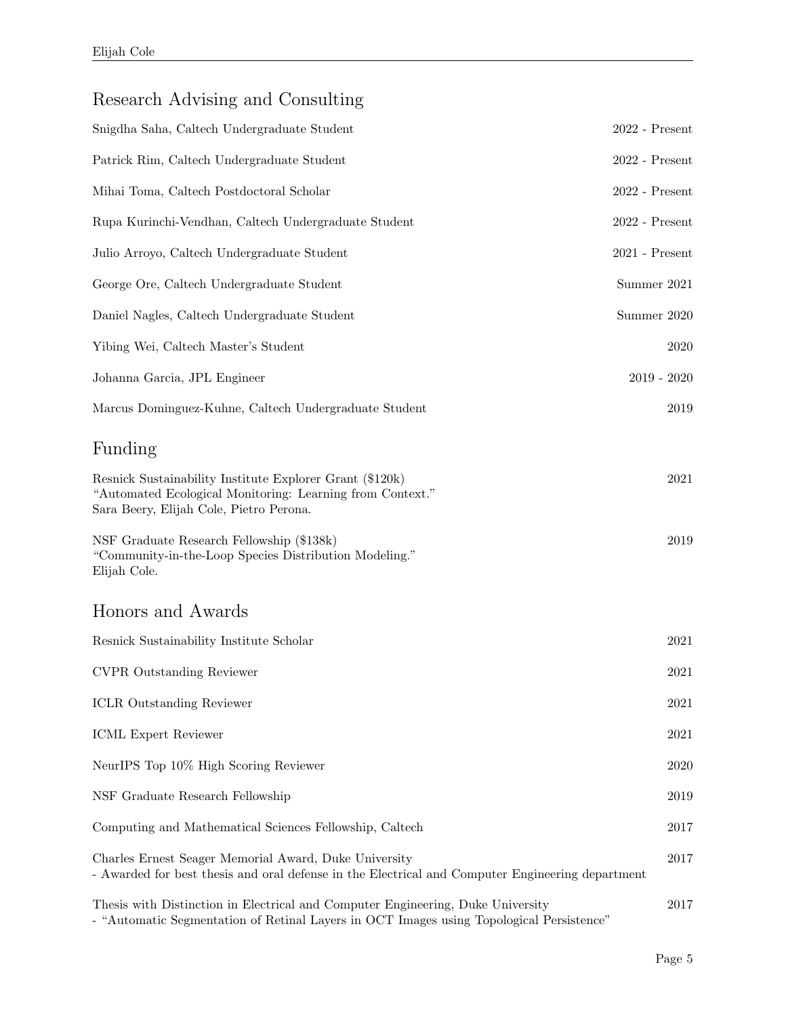# Research Advising and Consulting

| Snigdha Saha, Caltech Undergraduate Student                                                                                                                      | $2022$ - Present            |
|------------------------------------------------------------------------------------------------------------------------------------------------------------------|-----------------------------|
| Patrick Rim, Caltech Undergraduate Student                                                                                                                       | $2022$ - $\mathrm{Present}$ |
| Mihai Toma, Caltech Postdoctoral Scholar                                                                                                                         | $2022$ - Present            |
| Rupa Kurinchi-Vendhan, Caltech Undergraduate Student                                                                                                             | $2022$ - $\mathrm{Present}$ |
| Julio Arroyo, Caltech Undergraduate Student                                                                                                                      | $2021$ - Present            |
| George Ore, Caltech Undergraduate Student                                                                                                                        | Summer 2021                 |
| Daniel Nagles, Caltech Undergraduate Student                                                                                                                     | Summer 2020                 |
| Yibing Wei, Caltech Master's Student                                                                                                                             | 2020                        |
| Johanna Garcia, JPL Engineer                                                                                                                                     | $2019 - 2020$               |
| Marcus Dominguez-Kuhne, Caltech Undergraduate Student                                                                                                            | 2019                        |
| Funding                                                                                                                                                          |                             |
| Resnick Sustainability Institute Explorer Grant (\$120k)<br>"Automated Ecological Monitoring: Learning from Context."<br>Sara Beery, Elijah Cole, Pietro Perona. | 2021                        |
| NSF Graduate Research Fellowship (\$138k)<br>"Community-in-the-Loop Species Distribution Modeling."<br>Elijah Cole.                                              | 2019                        |
| Honors and Awards                                                                                                                                                |                             |
| Resnick Sustainability Institute Scholar                                                                                                                         | 2021                        |
| <b>CVPR</b> Outstanding Reviewer                                                                                                                                 | 2021                        |
| <b>ICLR</b> Outstanding Reviewer                                                                                                                                 | 2021                        |
| ICML Expert Reviewer                                                                                                                                             | 2021                        |
| NeurIPS Top 10% High Scoring Reviewer                                                                                                                            | 2020                        |
| NSF Graduate Research Fellowship                                                                                                                                 | 2019                        |
| Computing and Mathematical Sciences Fellowship, Caltech                                                                                                          | 2017                        |
| Charles Ernest Seager Memorial Award, Duke University<br>- Awarded for best thesis and oral defense in the Electrical and Computer Engineering department        | 2017                        |
| Thesis with Distinction in Electrical and Computer Engineering, Duke University                                                                                  | 2017                        |

- "Automatic Segmentation of Retinal Layers in OCT Images using Topological Persistence"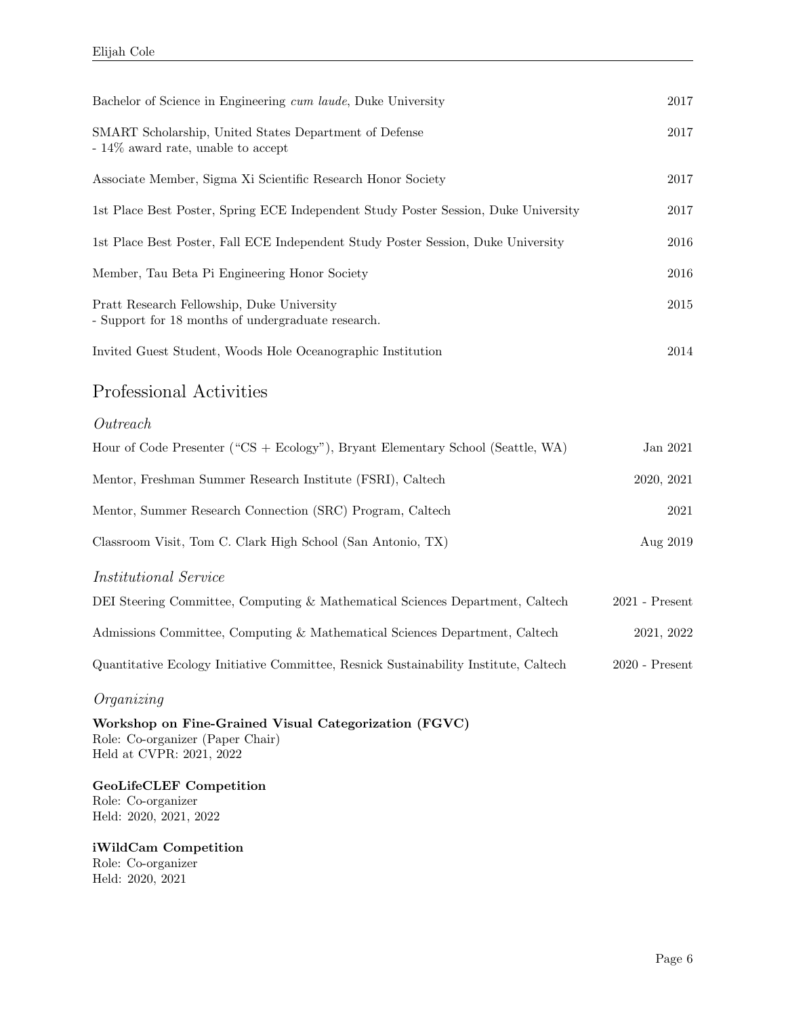| Bachelor of Science in Engineering cum laude, Duke University                                    | 2017                        |
|--------------------------------------------------------------------------------------------------|-----------------------------|
| SMART Scholarship, United States Department of Defense<br>$-14\%$ award rate, unable to accept   | $2017\,$                    |
| Associate Member, Sigma Xi Scientific Research Honor Society                                     | $2017\,$                    |
| 1st Place Best Poster, Spring ECE Independent Study Poster Session, Duke University              | 2017                        |
| 1st Place Best Poster, Fall ECE Independent Study Poster Session, Duke University                | 2016                        |
| Member, Tau Beta Pi Engineering Honor Society                                                    | 2016                        |
| Pratt Research Fellowship, Duke University<br>- Support for 18 months of undergraduate research. | 2015                        |
| Invited Guest Student, Woods Hole Oceanographic Institution                                      | 2014                        |
| Professional Activities                                                                          |                             |
| Outreach                                                                                         |                             |
| Hour of Code Presenter ("CS + Ecology"), Bryant Elementary School (Seattle, WA)                  | Jan 2021                    |
| Mentor, Freshman Summer Research Institute (FSRI), Caltech                                       | 2020, 2021                  |
| Mentor, Summer Research Connection (SRC) Program, Caltech                                        | 2021                        |
| Classroom Visit, Tom C. Clark High School (San Antonio, TX)                                      | Aug 2019                    |
| <i>Institutional Service</i>                                                                     |                             |
| DEI Steering Committee, Computing & Mathematical Sciences Department, Caltech                    | $2021$ - $\mathrm{Present}$ |
| Admissions Committee, Computing & Mathematical Sciences Department, Caltech                      | 2021, 2022                  |
| Quantitative Ecology Initiative Committee, Resnick Sustainability Institute, Caltech             | $2020$ - Present            |
|                                                                                                  |                             |

#### Organizing

Workshop on Fine-Grained Visual Categorization (FGVC) Role: Co-organizer (Paper Chair) Held at CVPR: 2021, 2022

GeoLifeCLEF Competition Role: Co-organizer Held: 2020, 2021, 2022

iWildCam Competition Role: Co-organizer Held: 2020, 2021